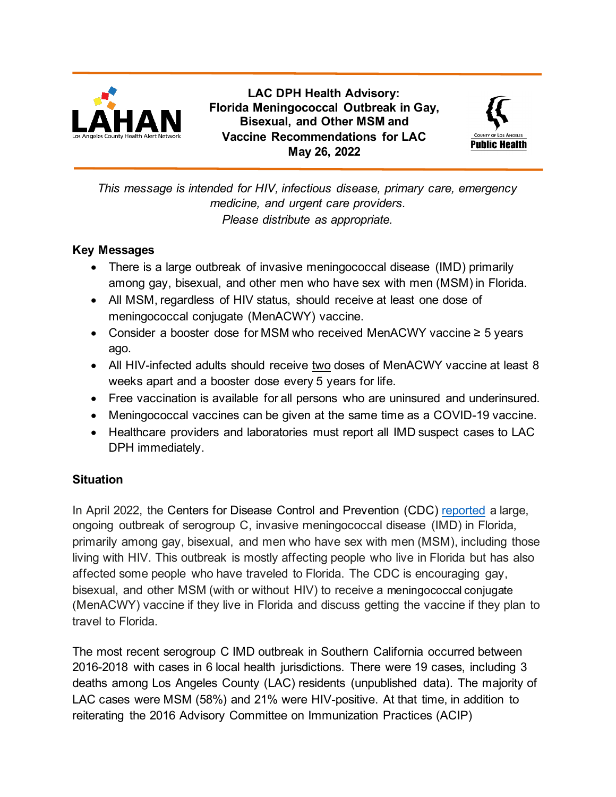

**LAC DPH Health Advisory: Florida Meningococcal Outbreak in Gay, Bisexual, and Other MSM and Vaccine Recommendations for LAC May 26, 2022**



*This message is intended for HIV, infectious disease, primary care, emergency medicine, and urgent care providers. Please distribute as appropriate.*

### **Key Messages**

- There is a large outbreak of invasive meningococcal disease (IMD) primarily among gay, bisexual, and other men who have sex with men (MSM) in Florida.
- All MSM, regardless of HIV status, should receive at least one dose of meningococcal conjugate (MenACWY) vaccine.
- Consider a booster dose for MSM who received MenACWY vaccine ≥ 5 years ago.
- All HIV-infected adults should receive two doses of MenACWY vaccine at least 8 weeks apart and a booster dose every 5 years for life.
- Free vaccination is available for all persons who are uninsured and underinsured.
- Meningococcal vaccines can be given at the same time as a COVID-19 vaccine.
- Healthcare providers and laboratories must report all IMD suspect cases to LAC DPH immediately.

## **Situation**

In April 2022, the Centers for Disease Control and Prevention (CDC) [reported](https://www.cdc.gov/meningococcal/outbreaks/FL2022.html) a large, ongoing outbreak of serogroup C, invasive meningococcal disease (IMD) in Florida, primarily among gay, bisexual, and men who have sex with men (MSM), including those living with HIV. This outbreak is mostly affecting people who live in Florida but has also affected some people who have traveled to Florida. The CDC is encouraging gay, bisexual, and other MSM (with or without HIV) to receive a meningococcal conjugate (MenACWY) vaccine if they live in Florida and discuss getting the vaccine if they plan to travel to Florida.

The most recent serogroup C IMD outbreak in Southern California occurred between 2016-2018 with cases in 6 local health jurisdictions. There were 19 cases, including 3 deaths among Los Angeles County (LAC) residents (unpublished data). The majority of LAC cases were MSM (58%) and 21% were HIV-positive. At that time, in addition to reiterating the 2016 Advisory Committee on Immunization Practices (ACIP)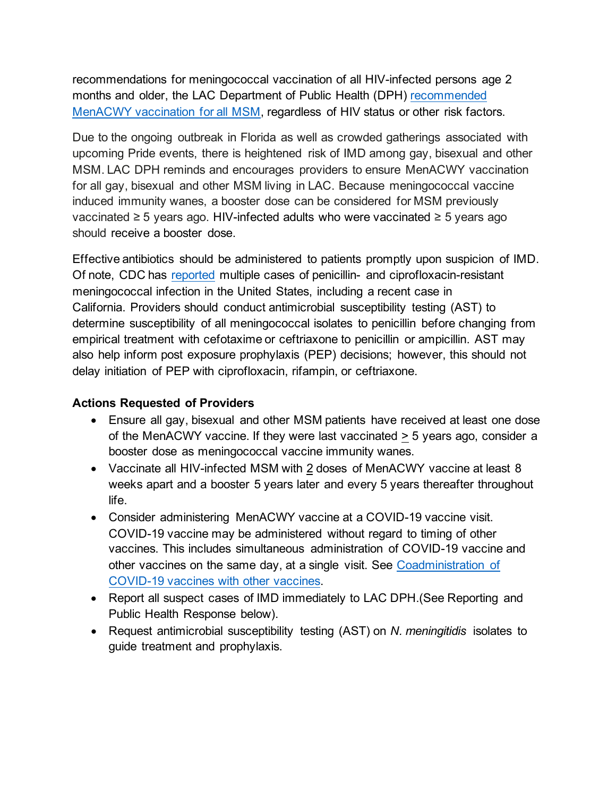recommendations for meningococcal vaccination of all HIV-infected persons age 2 months and older, the LAC Department of Public Health (DPH) [recommended](http://publichealth.lacounty.gov/eprp/Health%20Alerts/LAC%20DPH%20IMD%20VAX%20MSM%20072616.pdf)  [MenACWY vaccination for all MSM,](http://publichealth.lacounty.gov/eprp/Health%20Alerts/LAC%20DPH%20IMD%20VAX%20MSM%20072616.pdf) regardless of HIV status or other risk factors.

Due to the ongoing outbreak in Florida as well as crowded gatherings associated with upcoming Pride events, there is heightened risk of IMD among gay, bisexual and other MSM. LAC DPH reminds and encourages providers to ensure MenACWY vaccination for all gay, bisexual and other MSM living in LAC. Because meningococcal vaccine induced immunity wanes, a booster dose can be considered for MSM previously vaccinated ≥ 5 years ago. HIV-infected adults who were vaccinated ≥ 5 years ago should receive a booster dose.

Effective antibiotics should be administered to patients promptly upon suspicion of IMD. Of note, CDC has [reported](http://publichealth.lacounty.gov/eprp/lahan/alerts/CDCHANCiproResistantNM062322.pdf) multiple cases of penicillin- and ciprofloxacin-resistant meningococcal infection in the United States, including a recent case in California. Providers should conduct antimicrobial susceptibility testing (AST) to determine susceptibility of all meningococcal isolates to penicillin before changing from empirical treatment with cefotaxime or ceftriaxone to penicillin or ampicillin. AST may also help inform post exposure prophylaxis (PEP) decisions; however, this should not delay initiation of PEP with ciprofloxacin, rifampin, or ceftriaxone.

## **Actions Requested of Providers**

- Ensure all gay, bisexual and other MSM patients have received at least one dose of the MenACWY vaccine. If they were last vaccinated > 5 years ago, consider a booster dose as meningococcal vaccine immunity wanes.
- Vaccinate all HIV-infected MSM with 2 doses of MenACWY vaccine at least 8 weeks apart and a booster 5 years later and every 5 years thereafter throughout life.
- Consider administering MenACWY vaccine at a COVID-19 vaccine visit. COVID-19 vaccine may be administered without regard to timing of other vaccines. This includes simultaneous administration of COVID-19 vaccine and other vaccines on the same day, at a single visit. See [Coadministration of](https://www.cdc.gov/vaccines/covid-19/clinical-considerations/interim-considerations-us.html#recommendations)  [COVID-19 vaccines with other vaccines.](https://www.cdc.gov/vaccines/covid-19/clinical-considerations/interim-considerations-us.html#recommendations)
- Report all suspect cases of IMD immediately to LAC DPH.(See Reporting and Public Health Response below).
- Request antimicrobial susceptibility testing (AST) on *N. meningitidis* isolates to guide treatment and prophylaxis.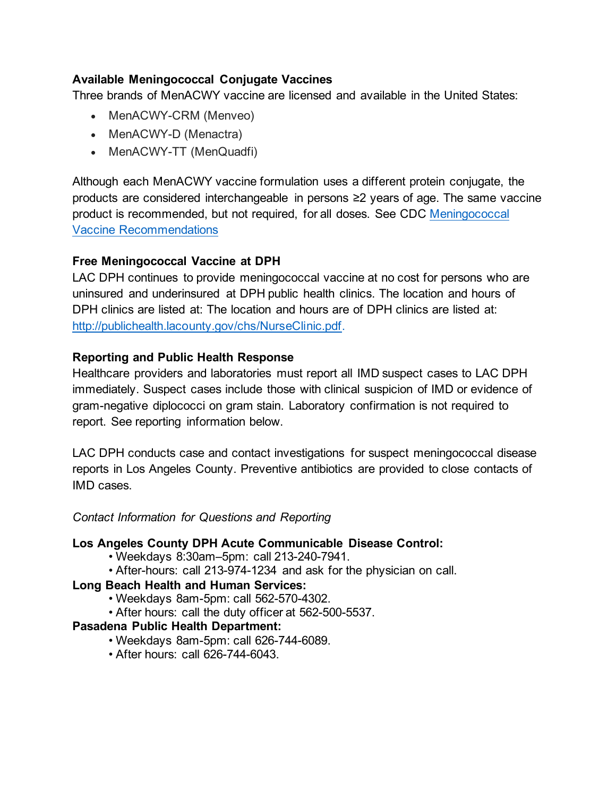# **Available Meningococcal Conjugate Vaccines**

Three brands of MenACWY vaccine are licensed and available in the United States:

- MenACWY-CRM (Menveo)
- MenACWY-D (Menactra)
- MenACWY-TT (MenQuadfi)

Although each MenACWY vaccine formulation uses a different protein conjugate, the products are considered interchangeable in persons ≥2 years of age. The same vaccine product is recommended, but not required, for all doses. See CDC [Meningococcal](https://www.cdc.gov/vaccines/vpd/mening/hcp/recommendations.html)  [Vaccine Recommendations](https://www.cdc.gov/vaccines/vpd/mening/hcp/recommendations.html)

# **Free Meningococcal Vaccine at DPH**

LAC DPH continues to provide meningococcal vaccine at no cost for persons who are uninsured and underinsured at DPH public health clinics. The location and hours of DPH clinics are listed at: The location and hours are of DPH clinics are listed at: [http://publichealth.lacounty.gov/chs/NurseClinic.pdf.](http://publichealth.lacounty.gov/chs/NurseClinic.pdf)

## **Reporting and Public Health Response**

Healthcare providers and laboratories must report all IMD suspect cases to LAC DPH immediately. Suspect cases include those with clinical suspicion of IMD or evidence of gram-negative diplococci on gram stain. Laboratory confirmation is not required to report. See reporting information below.

LAC DPH conducts case and contact investigations for suspect meningococcal disease reports in Los Angeles County. Preventive antibiotics are provided to close contacts of IMD cases.

#### *Contact Information for Questions and Reporting*

#### **Los Angeles County DPH Acute Communicable Disease Control:**

- Weekdays 8:30am–5pm: call 213-240-7941.
- After-hours: call 213-974-1234 and ask for the physician on call.

## **Long Beach Health and Human Services:**

- Weekdays 8am-5pm: call 562-570-4302.
- After hours: call the duty officer at 562-500-5537.

## **Pasadena Public Health Department:**

- Weekdays 8am-5pm: call 626-744-6089.
- After hours: call 626-744-6043.